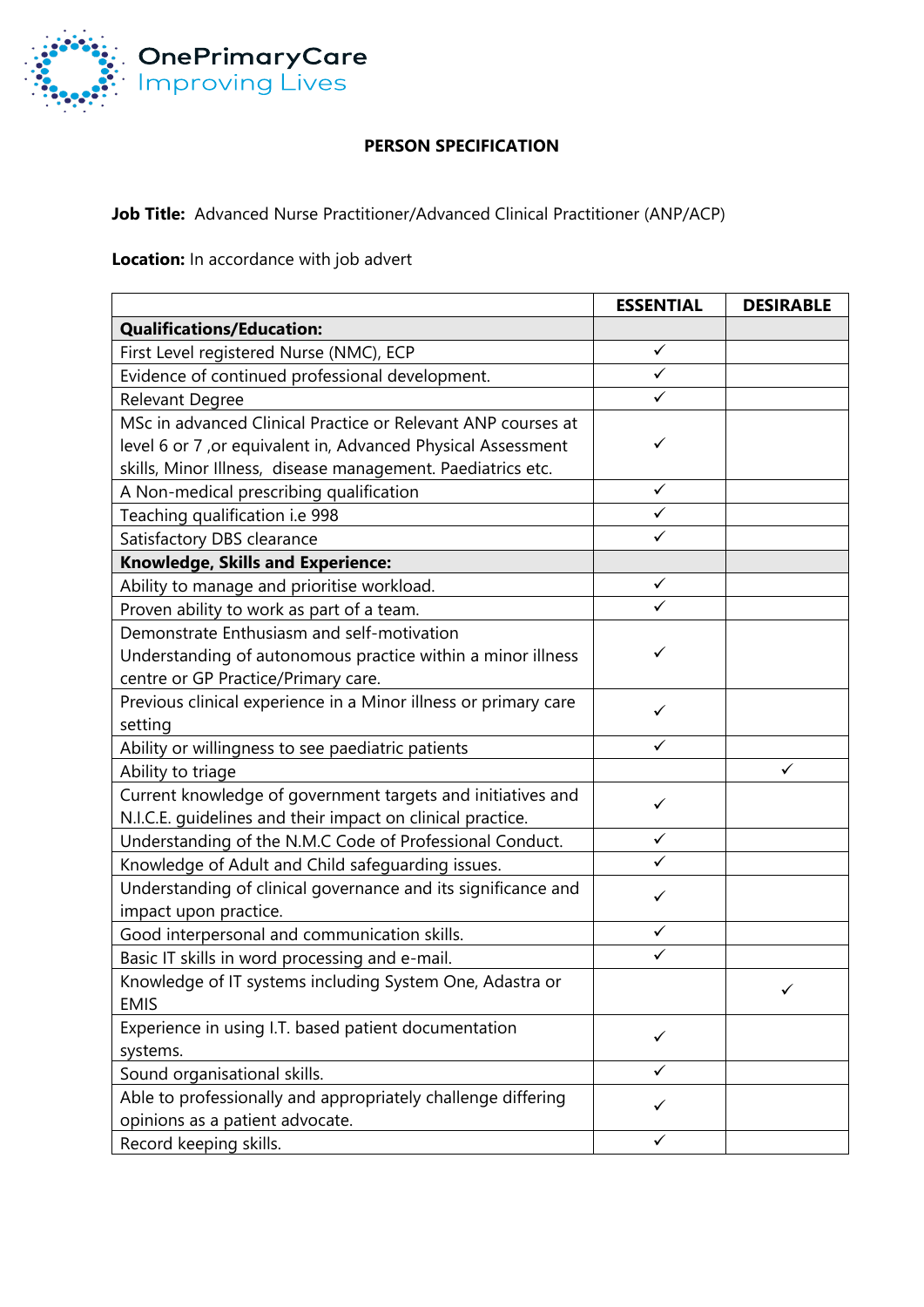

## **PERSON SPECIFICATION**

**Job Title:** Advanced Nurse Practitioner/Advanced Clinical Practitioner (ANP/ACP)

**Location:** In accordance with job advert

|                                                                 | <b>ESSENTIAL</b> | <b>DESIRABLE</b> |
|-----------------------------------------------------------------|------------------|------------------|
| <b>Qualifications/Education:</b>                                |                  |                  |
| First Level registered Nurse (NMC), ECP                         | $\checkmark$     |                  |
| Evidence of continued professional development.                 | $\checkmark$     |                  |
| Relevant Degree                                                 | ✓                |                  |
| MSc in advanced Clinical Practice or Relevant ANP courses at    |                  |                  |
| level 6 or 7, or equivalent in, Advanced Physical Assessment    | ✓                |                  |
| skills, Minor Illness, disease management. Paediatrics etc.     |                  |                  |
| A Non-medical prescribing qualification                         | $\checkmark$     |                  |
| Teaching qualification i.e 998                                  | $\checkmark$     |                  |
| Satisfactory DBS clearance                                      | $\checkmark$     |                  |
| <b>Knowledge, Skills and Experience:</b>                        |                  |                  |
| Ability to manage and prioritise workload.                      | $\checkmark$     |                  |
| Proven ability to work as part of a team.                       | ✓                |                  |
| Demonstrate Enthusiasm and self-motivation                      |                  |                  |
| Understanding of autonomous practice within a minor illness     | ✓                |                  |
| centre or GP Practice/Primary care.                             |                  |                  |
| Previous clinical experience in a Minor illness or primary care | ✓                |                  |
| setting                                                         |                  |                  |
| Ability or willingness to see paediatric patients               | ✓                |                  |
| Ability to triage                                               |                  | ✓                |
| Current knowledge of government targets and initiatives and     | ✓                |                  |
| N.I.C.E. guidelines and their impact on clinical practice.      |                  |                  |
| Understanding of the N.M.C Code of Professional Conduct.        | $\checkmark$     |                  |
| Knowledge of Adult and Child safeguarding issues.               | ✓                |                  |
| Understanding of clinical governance and its significance and   | ✓                |                  |
| impact upon practice.                                           |                  |                  |
| Good interpersonal and communication skills.                    | $\checkmark$     |                  |
| Basic IT skills in word processing and e-mail.                  | $\checkmark$     |                  |
| Knowledge of IT systems including System One, Adastra or        |                  | $\sqrt{2}$       |
| <b>EMIS</b>                                                     |                  |                  |
| Experience in using I.T. based patient documentation            | $\checkmark$     |                  |
| systems.                                                        |                  |                  |
| Sound organisational skills.                                    | ✓                |                  |
| Able to professionally and appropriately challenge differing    | ✓                |                  |
| opinions as a patient advocate.                                 |                  |                  |
| Record keeping skills.                                          | ✓                |                  |